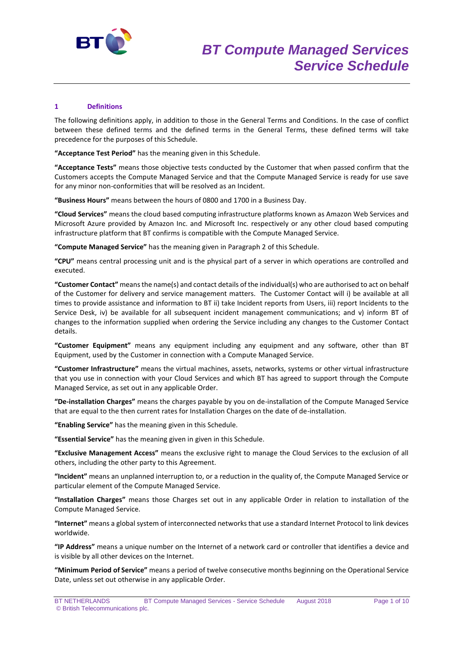

## **1 Definitions**

The following definitions apply, in addition to those in the General Terms and Conditions. In the case of conflict between these defined terms and the defined terms in the General Terms, these defined terms will take precedence for the purposes of this Schedule.

**"Acceptance Test Period"** has the meaning given in this Schedule.

**"Acceptance Tests"** means those objective tests conducted by the Customer that when passed confirm that the Customers accepts the Compute Managed Service and that the Compute Managed Service is ready for use save for any minor non-conformities that will be resolved as an Incident.

**"Business Hours"** means between the hours of 0800 and 1700 in a Business Day.

**"Cloud Services"** means the cloud based computing infrastructure platforms known as Amazon Web Services and Microsoft Azure provided by Amazon Inc. and Microsoft Inc. respectively or any other cloud based computing infrastructure platform that BT confirms is compatible with the Compute Managed Service.

**"Compute Managed Service"** has the meaning given in Paragraph 2 of this Schedule.

**"CPU"** means central processing unit and is the physical part of a server in which operations are controlled and executed.

**"Customer Contact"** means the name(s) and contact details of the individual(s) who are authorised to act on behalf of the Customer for delivery and service management matters. The Customer Contact will i) be available at all times to provide assistance and information to BT ii) take Incident reports from Users, iii) report Incidents to the Service Desk, iv) be available for all subsequent incident management communications; and v) inform BT of changes to the information supplied when ordering the Service including any changes to the Customer Contact details.

**"Customer Equipment"** means any equipment including any equipment and any software, other than BT Equipment, used by the Customer in connection with a Compute Managed Service.

**"Customer Infrastructure"** means the virtual machines, assets, networks, systems or other virtual infrastructure that you use in connection with your Cloud Services and which BT has agreed to support through the Compute Managed Service, as set out in any applicable Order.

**"De-installation Charges"** means the charges payable by you on de-installation of the Compute Managed Service that are equal to the then current rates for Installation Charges on the date of de-installation.

**"Enabling Service"** has the meaning given in this Schedule.

**"Essential Service"** has the meaning given in given in this Schedule.

**"Exclusive Management Access"** means the exclusive right to manage the Cloud Services to the exclusion of all others, including the other party to this Agreement.

**"Incident"** means an unplanned interruption to, or a reduction in the quality of, the Compute Managed Service or particular element of the Compute Managed Service.

**"Installation Charges"** means those Charges set out in any applicable Order in relation to installation of the Compute Managed Service.

**"Internet"** means a global system of interconnected networks that use a standard Internet Protocol to link devices worldwide.

**"IP Address"** means a unique number on the Internet of a network card or controller that identifies a device and is visible by all other devices on the Internet.

**"Minimum Period of Service"** means a period of twelve consecutive months beginning on the Operational Service Date, unless set out otherwise in any applicable Order.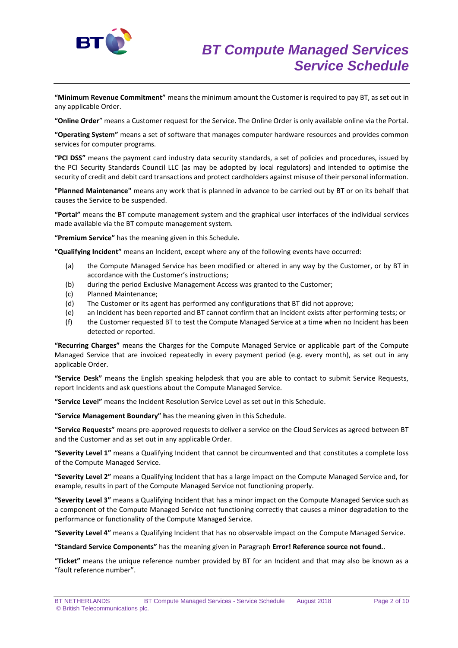

**"Minimum Revenue Commitment"** means the minimum amount the Customer is required to pay BT, as set out in any applicable Order.

**"Online Order**" means a Customer request for the Service. The Online Order is only available online via the Portal.

**"Operating System"** means a set of software that manages computer hardware resources and provides common services for computer programs.

**"PCI DSS"** means the payment card industry data security standards, a set of policies and procedures, issued by the PCI Security Standards Council LLC (as may be adopted by local regulators) and intended to optimise the security of credit and debit card transactions and protect cardholders against misuse of their personal information.

**"Planned Maintenance"** means any work that is planned in advance to be carried out by BT or on its behalf that causes the Service to be suspended.

**"Portal"** means the BT compute management system and the graphical user interfaces of the individual services made available via the BT compute management system.

**"Premium Service"** has the meaning given in this Schedule.

**"Qualifying Incident"** means an Incident, except where any of the following events have occurred:

- (a) the Compute Managed Service has been modified or altered in any way by the Customer, or by BT in accordance with the Customer's instructions;
- (b) during the period Exclusive Management Access was granted to the Customer;
- (c) Planned Maintenance;
- (d) The Customer or its agent has performed any configurations that BT did not approve;
- (e) an Incident has been reported and BT cannot confirm that an Incident exists after performing tests; or
- (f) the Customer requested BT to test the Compute Managed Service at a time when no Incident has been detected or reported.

**"Recurring Charges"** means the Charges for the Compute Managed Service or applicable part of the Compute Managed Service that are invoiced repeatedly in every payment period (e.g. every month), as set out in any applicable Order.

**"Service Desk"** means the English speaking helpdesk that you are able to contact to submit Service Requests, report Incidents and ask questions about the Compute Managed Service.

**"Service Level"** means the Incident Resolution Service Level as set out in this Schedule.

**"Service Management Boundary" h**as the meaning given in this Schedule.

**"Service Requests"** means pre-approved requests to deliver a service on the Cloud Services as agreed between BT and the Customer and as set out in any applicable Order.

**"Severity Level 1"** means a Qualifying Incident that cannot be circumvented and that constitutes a complete loss of the Compute Managed Service.

**"Severity Level 2"** means a Qualifying Incident that has a large impact on the Compute Managed Service and, for example, results in part of the Compute Managed Service not functioning properly.

**"Severity Level 3"** means a Qualifying Incident that has a minor impact on the Compute Managed Service such as a component of the Compute Managed Service not functioning correctly that causes a minor degradation to the performance or functionality of the Compute Managed Service.

**"Severity Level 4"** means a Qualifying Incident that has no observable impact on the Compute Managed Service.

**"Standard Service Components"** has the meaning given in Paragraph **Error! Reference source not found.**.

**"Ticket"** means the unique reference number provided by BT for an Incident and that may also be known as a "fault reference number".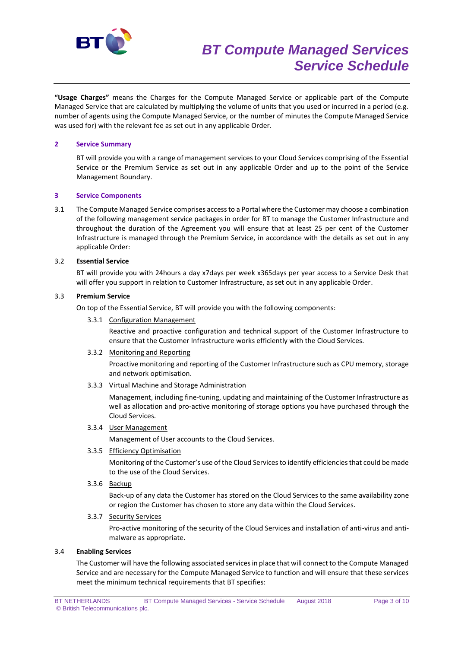

**"Usage Charges"** means the Charges for the Compute Managed Service or applicable part of the Compute Managed Service that are calculated by multiplying the volume of units that you used or incurred in a period (e.g. number of agents using the Compute Managed Service, or the number of minutes the Compute Managed Service was used for) with the relevant fee as set out in any applicable Order.

## **2 Service Summary**

BT will provide you with a range of management services to your Cloud Services comprising of the Essential Service or the Premium Service as set out in any applicable Order and up to the point of the Service Management Boundary.

## **3 Service Components**

3.1 The Compute Managed Service comprises access to a Portal where the Customer may choose a combination of the following management service packages in order for BT to manage the Customer Infrastructure and throughout the duration of the Agreement you will ensure that at least 25 per cent of the Customer Infrastructure is managed through the Premium Service, in accordance with the details as set out in any applicable Order:

## 3.2 **Essential Service**

BT will provide you with 24hours a day x7days per week x365days per year access to a Service Desk that will offer you support in relation to Customer Infrastructure, as set out in any applicable Order.

## 3.3 **Premium Service**

On top of the Essential Service, BT will provide you with the following components:

#### 3.3.1 Configuration Management

Reactive and proactive configuration and technical support of the Customer Infrastructure to ensure that the Customer Infrastructure works efficiently with the Cloud Services.

#### 3.3.2 Monitoring and Reporting

Proactive monitoring and reporting of the Customer Infrastructure such as CPU memory, storage and network optimisation.

3.3.3 Virtual Machine and Storage Administration

Management, including fine-tuning, updating and maintaining of the Customer Infrastructure as well as allocation and pro-active monitoring of storage options you have purchased through the Cloud Services.

3.3.4 User Management

Management of User accounts to the Cloud Services.

3.3.5 Efficiency Optimisation

Monitoring of the Customer's use of the Cloud Services to identify efficiencies that could be made to the use of the Cloud Services.

3.3.6 Backup

Back-up of any data the Customer has stored on the Cloud Services to the same availability zone or region the Customer has chosen to store any data within the Cloud Services.

## 3.3.7 Security Services

Pro-active monitoring of the security of the Cloud Services and installation of anti-virus and antimalware as appropriate.

# 3.4 **Enabling Services**

The Customer will have the following associated services in place that will connect to the Compute Managed Service and are necessary for the Compute Managed Service to function and will ensure that these services meet the minimum technical requirements that BT specifies: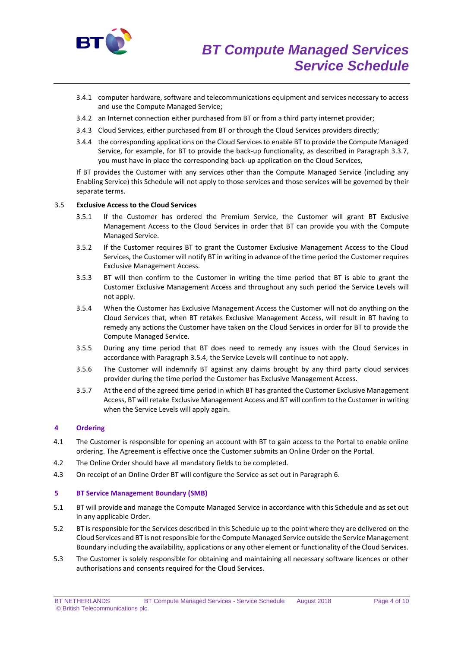

- 3.4.1 computer hardware, software and telecommunications equipment and services necessary to access and use the Compute Managed Service;
- 3.4.2 an Internet connection either purchased from BT or from a third party internet provider;
- 3.4.3 Cloud Services, either purchased from BT or through the Cloud Services providers directly;
- 3.4.4 the corresponding applications on the Cloud Services to enable BT to provide the Compute Managed Service, for example, for BT to provide the back-up functionality, as described in Paragraph 3.3.7, you must have in place the corresponding back-up application on the Cloud Services,

If BT provides the Customer with any services other than the Compute Managed Service (including any Enabling Service) this Schedule will not apply to those services and those services will be governed by their separate terms.

## 3.5 **Exclusive Access to the Cloud Services**

- 3.5.1 If the Customer has ordered the Premium Service, the Customer will grant BT Exclusive Management Access to the Cloud Services in order that BT can provide you with the Compute Managed Service.
- 3.5.2 If the Customer requires BT to grant the Customer Exclusive Management Access to the Cloud Services, the Customer will notify BT in writing in advance of the time period the Customer requires Exclusive Management Access.
- 3.5.3 BT will then confirm to the Customer in writing the time period that BT is able to grant the Customer Exclusive Management Access and throughout any such period the Service Levels will not apply.
- 3.5.4 When the Customer has Exclusive Management Access the Customer will not do anything on the Cloud Services that, when BT retakes Exclusive Management Access, will result in BT having to remedy any actions the Customer have taken on the Cloud Services in order for BT to provide the Compute Managed Service.
- 3.5.5 During any time period that BT does need to remedy any issues with the Cloud Services in accordance with Paragraph 3.5.4, the Service Levels will continue to not apply.
- 3.5.6 The Customer will indemnify BT against any claims brought by any third party cloud services provider during the time period the Customer has Exclusive Management Access.
- 3.5.7 At the end of the agreed time period in which BT has granted the Customer Exclusive Management Access, BT will retake Exclusive Management Access and BT will confirm to the Customer in writing when the Service Levels will apply again.

#### **4 Ordering**

- 4.1 The Customer is responsible for opening an account with BT to gain access to the Portal to enable online ordering. The Agreement is effective once the Customer submits an Online Order on the Portal.
- 4.2 The Online Order should have all mandatory fields to be completed.
- 4.3 On receipt of an Online Order BT will configure the Service as set out in Paragraph 6.

#### **5 BT Service Management Boundary (SMB)**

- 5.1 BT will provide and manage the Compute Managed Service in accordance with this Schedule and as set out in any applicable Order.
- 5.2 BT is responsible for the Services described in this Schedule up to the point where they are delivered on the Cloud Services and BT is not responsible for the Compute Managed Service outside the Service Management Boundary including the availability, applications or any other element or functionality of the Cloud Services.
- 5.3 The Customer is solely responsible for obtaining and maintaining all necessary software licences or other authorisations and consents required for the Cloud Services.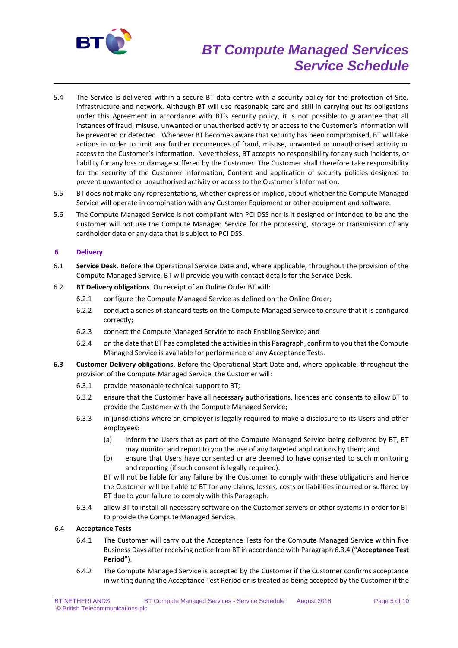

# *BT Compute Managed Services Service Schedule*

- 5.4 The Service is delivered within a secure BT data centre with a security policy for the protection of Site, infrastructure and network. Although BT will use reasonable care and skill in carrying out its obligations under this Agreement in accordance with BT's security policy, it is not possible to guarantee that all instances of fraud, misuse, unwanted or unauthorised activity or access to the Customer's Information will be prevented or detected. Whenever BT becomes aware that security has been compromised, BT will take actions in order to limit any further occurrences of fraud, misuse, unwanted or unauthorised activity or access to the Customer's Information. Nevertheless, BT accepts no responsibility for any such incidents, or liability for any loss or damage suffered by the Customer. The Customer shall therefore take responsibility for the security of the Customer Information, Content and application of security policies designed to prevent unwanted or unauthorised activity or access to the Customer's Information.
- 5.5 BT does not make any representations, whether express or implied, about whether the Compute Managed Service will operate in combination with any Customer Equipment or other equipment and software.
- 5.6 The Compute Managed Service is not compliant with PCI DSS nor is it designed or intended to be and the Customer will not use the Compute Managed Service for the processing, storage or transmission of any cardholder data or any data that is subject to PCI DSS.

## **6 Delivery**

- 6.1 **Service Desk**. Before the Operational Service Date and, where applicable, throughout the provision of the Compute Managed Service, BT will provide you with contact details for the Service Desk.
- 6.2 **BT Delivery obligations**. On receipt of an Online Order BT will:
	- 6.2.1 configure the Compute Managed Service as defined on the Online Order;
	- 6.2.2 conduct a series of standard tests on the Compute Managed Service to ensure that it is configured correctly;
	- 6.2.3 connect the Compute Managed Service to each Enabling Service; and
	- 6.2.4 on the date that BT has completed the activities in this Paragraph, confirm to you that the Compute Managed Service is available for performance of any Acceptance Tests.
- **6.3 Customer Delivery obligations**. Before the Operational Start Date and, where applicable, throughout the provision of the Compute Managed Service, the Customer will:
	- 6.3.1 provide reasonable technical support to BT;
	- 6.3.2 ensure that the Customer have all necessary authorisations, licences and consents to allow BT to provide the Customer with the Compute Managed Service;
	- 6.3.3 in jurisdictions where an employer is legally required to make a disclosure to its Users and other employees:
		- (a) inform the Users that as part of the Compute Managed Service being delivered by BT, BT may monitor and report to you the use of any targeted applications by them; and
		- (b) ensure that Users have consented or are deemed to have consented to such monitoring and reporting (if such consent is legally required).

BT will not be liable for any failure by the Customer to comply with these obligations and hence the Customer will be liable to BT for any claims, losses, costs or liabilities incurred or suffered by BT due to your failure to comply with this Paragraph.

6.3.4 allow BT to install all necessary software on the Customer servers or other systems in order for BT to provide the Compute Managed Service.

## 6.4 **Acceptance Tests**

- 6.4.1 The Customer will carry out the Acceptance Tests for the Compute Managed Service within five Business Days after receiving notice from BT in accordance with Paragraph 6.3.4 ("**Acceptance Test Period**").
- 6.4.2 The Compute Managed Service is accepted by the Customer if the Customer confirms acceptance in writing during the Acceptance Test Period or is treated as being accepted by the Customer if the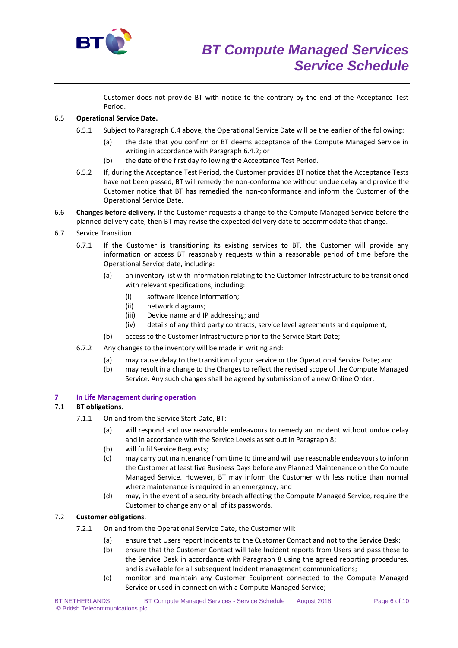

Customer does not provide BT with notice to the contrary by the end of the Acceptance Test Period.

# 6.5 **Operational Service Date.**

- 6.5.1 Subject to Paragraph 6.4 above, the Operational Service Date will be the earlier of the following:
	- (a) the date that you confirm or BT deems acceptance of the Compute Managed Service in writing in accordance with Paragraph 6.4.2; or
	- (b) the date of the first day following the Acceptance Test Period.
- 6.5.2 If, during the Acceptance Test Period, the Customer provides BT notice that the Acceptance Tests have not been passed, BT will remedy the non-conformance without undue delay and provide the Customer notice that BT has remedied the non-conformance and inform the Customer of the Operational Service Date.
- 6.6 **Changes before delivery.** If the Customer requests a change to the Compute Managed Service before the planned delivery date, then BT may revise the expected delivery date to accommodate that change.
- 6.7 Service Transition.
	- 6.7.1 If the Customer is transitioning its existing services to BT, the Customer will provide any information or access BT reasonably requests within a reasonable period of time before the Operational Service date, including:
		- (a) an inventory list with information relating to the Customer Infrastructure to be transitioned with relevant specifications, including:
			- (i) software licence information;
			- (ii) network diagrams;
			- (iii) Device name and IP addressing; and
			- (iv) details of any third party contracts, service level agreements and equipment;
		- (b) access to the Customer Infrastructure prior to the Service Start Date;
	- 6.7.2 Any changes to the inventory will be made in writing and:
		- (a) may cause delay to the transition of your service or the Operational Service Date; and
		- (b) may result in a change to the Charges to reflect the revised scope of the Compute Managed Service. Any such changes shall be agreed by submission of a new Online Order.

## **7 In Life Management during operation**

## 7.1 **BT obligations**.

- 7.1.1 On and from the Service Start Date, BT:
	- (a) will respond and use reasonable endeavours to remedy an Incident without undue delay and in accordance with the Service Levels as set out in Paragraph 8;
	- (b) will fulfil Service Requests;
	- (c) may carry out maintenance from time to time and will use reasonable endeavours to inform the Customer at least five Business Days before any Planned Maintenance on the Compute Managed Service. However, BT may inform the Customer with less notice than normal where maintenance is required in an emergency; and
	- (d) may, in the event of a security breach affecting the Compute Managed Service, require the Customer to change any or all of its passwords.

# 7.2 **Customer obligations**.

- 7.2.1 On and from the Operational Service Date, the Customer will:
	- (a) ensure that Users report Incidents to the Customer Contact and not to the Service Desk;
	- (b) ensure that the Customer Contact will take Incident reports from Users and pass these to the Service Desk in accordance with Paragraph 8 using the agreed reporting procedures, and is available for all subsequent Incident management communications;
	- (c) monitor and maintain any Customer Equipment connected to the Compute Managed Service or used in connection with a Compute Managed Service;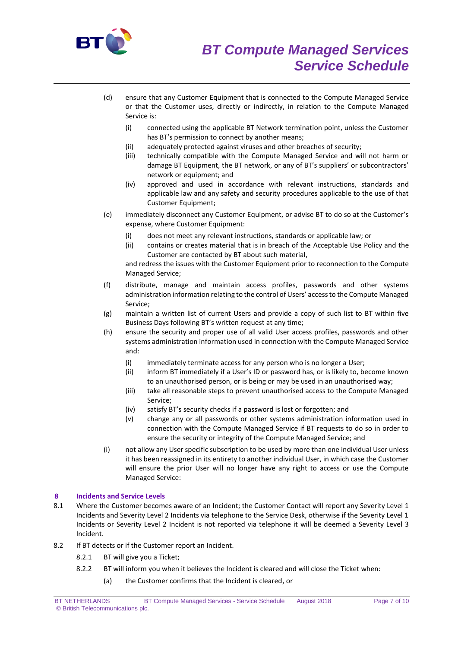

- (d) ensure that any Customer Equipment that is connected to the Compute Managed Service or that the Customer uses, directly or indirectly, in relation to the Compute Managed Service is:
	- (i) connected using the applicable BT Network termination point, unless the Customer has BT's permission to connect by another means;
	- (ii) adequately protected against viruses and other breaches of security;
	- (iii) technically compatible with the Compute Managed Service and will not harm or damage BT Equipment, the BT network, or any of BT's suppliers' or subcontractors' network or equipment; and
	- (iv) approved and used in accordance with relevant instructions, standards and applicable law and any safety and security procedures applicable to the use of that Customer Equipment;
- (e) immediately disconnect any Customer Equipment, or advise BT to do so at the Customer's expense, where Customer Equipment:
	- (i) does not meet any relevant instructions, standards or applicable law; or
	- (ii) contains or creates material that is in breach of the Acceptable Use Policy and the Customer are contacted by BT about such material,

and redress the issues with the Customer Equipment prior to reconnection to the Compute Managed Service;

- (f) distribute, manage and maintain access profiles, passwords and other systems administration information relating to the control of Users' access to the Compute Managed Service;
- (g) maintain a written list of current Users and provide a copy of such list to BT within five Business Days following BT's written request at any time;
- (h) ensure the security and proper use of all valid User access profiles, passwords and other systems administration information used in connection with the Compute Managed Service and:
	- (i) immediately terminate access for any person who is no longer a User;
	- (ii) inform BT immediately if a User's ID or password has, or is likely to, become known to an unauthorised person, or is being or may be used in an unauthorised way;
	- (iii) take all reasonable steps to prevent unauthorised access to the Compute Managed Service;
	- (iv) satisfy BT's security checks if a password is lost or forgotten; and
	- (v) change any or all passwords or other systems administration information used in connection with the Compute Managed Service if BT requests to do so in order to ensure the security or integrity of the Compute Managed Service; and
- (i) not allow any User specific subscription to be used by more than one individual User unless it has been reassigned in its entirety to another individual User, in which case the Customer will ensure the prior User will no longer have any right to access or use the Compute Managed Service:

# **8 Incidents and Service Levels**

- 8.1 Where the Customer becomes aware of an Incident; the Customer Contact will report any Severity Level 1 Incidents and Severity Level 2 Incidents via telephone to the Service Desk, otherwise if the Severity Level 1 Incidents or Severity Level 2 Incident is not reported via telephone it will be deemed a Severity Level 3 Incident.
- 8.2 If BT detects or if the Customer report an Incident.
	- 8.2.1 BT will give you a Ticket;
	- 8.2.2 BT will inform you when it believes the Incident is cleared and will close the Ticket when:
		- (a) the Customer confirms that the Incident is cleared, or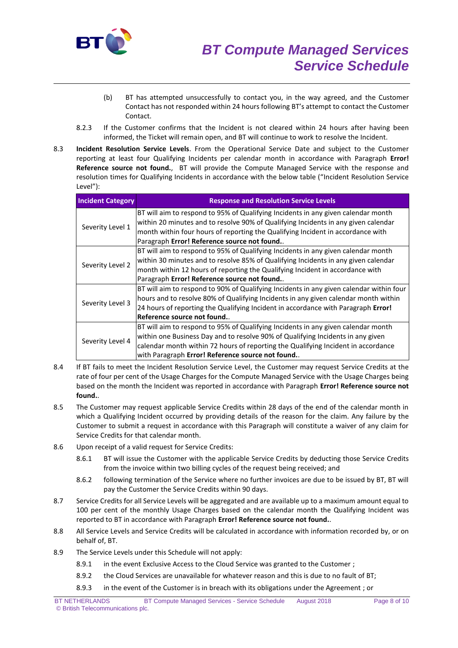

- (b) BT has attempted unsuccessfully to contact you, in the way agreed, and the Customer Contact has not responded within 24 hours following BT's attempt to contact the Customer Contact.
- 8.2.3 If the Customer confirms that the Incident is not cleared within 24 hours after having been informed, the Ticket will remain open, and BT will continue to work to resolve the Incident.
- 8.3 **Incident Resolution Service Levels**. From the Operational Service Date and subject to the Customer reporting at least four Qualifying Incidents per calendar month in accordance with Paragraph **Error! Reference source not found.**, BT will provide the Compute Managed Service with the response and resolution times for Qualifying Incidents in accordance with the below table ("Incident Resolution Service Level"):

| <b>Incident Category</b> | <b>Response and Resolution Service Levels</b>                                           |
|--------------------------|-----------------------------------------------------------------------------------------|
| Severity Level 1         | BT will aim to respond to 95% of Qualifying Incidents in any given calendar month       |
|                          | within 20 minutes and to resolve 90% of Qualifying Incidents in any given calendar      |
|                          | month within four hours of reporting the Qualifying Incident in accordance with         |
|                          | Paragraph Error! Reference source not found                                             |
| Severity Level 2         | BT will aim to respond to 95% of Qualifying Incidents in any given calendar month       |
|                          | within 30 minutes and to resolve 85% of Qualifying Incidents in any given calendar      |
|                          | month within 12 hours of reporting the Qualifying Incident in accordance with           |
|                          | Paragraph Error! Reference source not found                                             |
| Severity Level 3         | BT will aim to respond to 90% of Qualifying Incidents in any given calendar within four |
|                          | hours and to resolve 80% of Qualifying Incidents in any given calendar month within     |
|                          | 24 hours of reporting the Qualifying Incident in accordance with Paragraph Error!       |
|                          | Reference source not found.                                                             |
| Severity Level 4         | BT will aim to respond to 95% of Qualifying Incidents in any given calendar month       |
|                          | within one Business Day and to resolve 90% of Qualifying Incidents in any given         |
|                          | calendar month within 72 hours of reporting the Qualifying Incident in accordance       |
|                          | with Paragraph Error! Reference source not found                                        |

- 8.4 If BT fails to meet the Incident Resolution Service Level, the Customer may request Service Credits at the rate of four per cent of the Usage Charges for the Compute Managed Service with the Usage Charges being based on the month the Incident was reported in accordance with Paragraph **Error! Reference source not found.**.
- 8.5 The Customer may request applicable Service Credits within 28 days of the end of the calendar month in which a Qualifying Incident occurred by providing details of the reason for the claim. Any failure by the Customer to submit a request in accordance with this Paragraph will constitute a waiver of any claim for Service Credits for that calendar month.
- 8.6 Upon receipt of a valid request for Service Credits:
	- 8.6.1 BT will issue the Customer with the applicable Service Credits by deducting those Service Credits from the invoice within two billing cycles of the request being received; and
	- 8.6.2 following termination of the Service where no further invoices are due to be issued by BT, BT will pay the Customer the Service Credits within 90 days.
- 8.7 Service Credits for all Service Levels will be aggregated and are available up to a maximum amount equal to 100 per cent of the monthly Usage Charges based on the calendar month the Qualifying Incident was reported to BT in accordance with Paragraph **Error! Reference source not found.**.
- 8.8 All Service Levels and Service Credits will be calculated in accordance with information recorded by, or on behalf of, BT.
- 8.9 The Service Levels under this Schedule will not apply:
	- 8.9.1 in the event Exclusive Access to the Cloud Service was granted to the Customer ;
	- 8.9.2 the Cloud Services are unavailable for whatever reason and this is due to no fault of BT;
	- 8.9.3 in the event of the Customer is in breach with its obligations under the Agreement ; or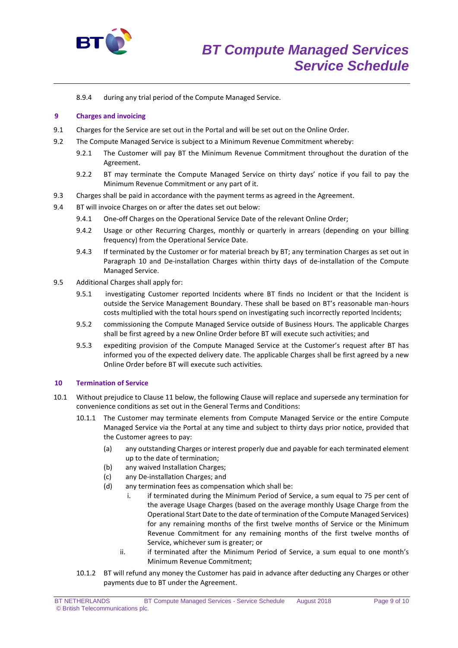

8.9.4 during any trial period of the Compute Managed Service.

## **9 Charges and invoicing**

- 9.1 Charges for the Service are set out in the Portal and will be set out on the Online Order.
- 9.2 The Compute Managed Service is subject to a Minimum Revenue Commitment whereby:
	- 9.2.1 The Customer will pay BT the Minimum Revenue Commitment throughout the duration of the Agreement.
	- 9.2.2 BT may terminate the Compute Managed Service on thirty days' notice if you fail to pay the Minimum Revenue Commitment or any part of it.
- 9.3 Charges shall be paid in accordance with the payment terms as agreed in the Agreement.
- 9.4 BT will invoice Charges on or after the dates set out below:
	- 9.4.1 One-off Charges on the Operational Service Date of the relevant Online Order;
	- 9.4.2 Usage or other Recurring Charges, monthly or quarterly in arrears (depending on your billing frequency) from the Operational Service Date.
	- 9.4.3 If terminated by the Customer or for material breach by BT; any termination Charges as set out in Paragraph 10 and De-installation Charges within thirty days of de-installation of the Compute Managed Service.
- 9.5 Additional Charges shall apply for:
	- 9.5.1 investigating Customer reported Incidents where BT finds no Incident or that the Incident is outside the Service Management Boundary. These shall be based on BT's reasonable man-hours costs multiplied with the total hours spend on investigating such incorrectly reported Incidents;
	- 9.5.2 commissioning the Compute Managed Service outside of Business Hours. The applicable Charges shall be first agreed by a new Online Order before BT will execute such activities; and
	- 9.5.3 expediting provision of the Compute Managed Service at the Customer's request after BT has informed you of the expected delivery date. The applicable Charges shall be first agreed by a new Online Order before BT will execute such activities.

## **10 Termination of Service**

- 10.1 Without prejudice to Clause 11 below, the following Clause will replace and supersede any termination for convenience conditions as set out in the General Terms and Conditions:
	- 10.1.1 The Customer may terminate elements from Compute Managed Service or the entire Compute Managed Service via the Portal at any time and subject to thirty days prior notice, provided that the Customer agrees to pay:
		- (a) any outstanding Charges or interest properly due and payable for each terminated element up to the date of termination;
		- (b) any waived Installation Charges;
		- (c) any De-installation Charges; and
		- (d) any termination fees as compensation which shall be:
			- i. if terminated during the Minimum Period of Service, a sum equal to 75 per cent of the average Usage Charges (based on the average monthly Usage Charge from the Operational Start Date to the date of termination of the Compute Managed Services) for any remaining months of the first twelve months of Service or the Minimum Revenue Commitment for any remaining months of the first twelve months of Service, whichever sum is greater; or
			- ii. if terminated after the Minimum Period of Service, a sum equal to one month's Minimum Revenue Commitment;
	- 10.1.2 BT will refund any money the Customer has paid in advance after deducting any Charges or other payments due to BT under the Agreement.